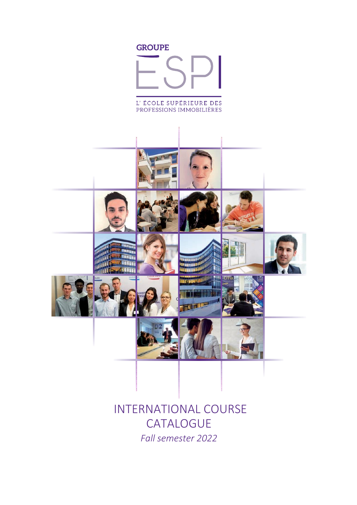

# INTERNATIONAL COURSE **CATALOGUE** *Fall semester 2022*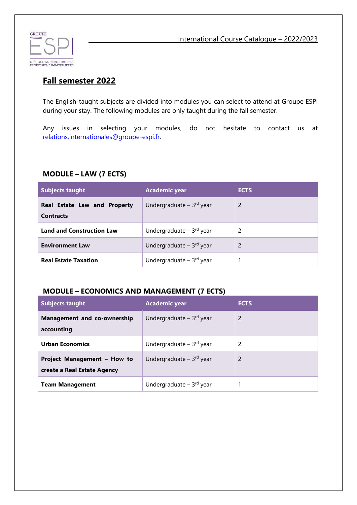

**\_\_\_\_\_\_\_\_\_\_\_\_** International Course Catalogue – 2022/2023

## **Fall semester 2022**

The English-taught subjects are divided into modules you can select to attend at Groupe ESPI during your stay. The following modules are only taught during the fall semester.

Any issues in selecting your modules, do not hesitate to contact us at [relations.internationales@groupe-espi.fr.](mailto:relations.internationales@groupe-espi.fr)

#### **MODULE – LAW (7 ECTS)**

| <b>Subjects taught</b>                           | <b>Academic year</b>                  | <b>ECTS</b>              |
|--------------------------------------------------|---------------------------------------|--------------------------|
| Real Estate Law and Property<br><b>Contracts</b> | Undergraduate $-3^{rd}$ year          | $\overline{\phantom{0}}$ |
| <b>Land and Construction Law</b>                 | Undergraduate $-3$ <sup>rd</sup> year | 2                        |
| <b>Environment Law</b>                           | Undergraduate $-3^{rd}$ year          | 2                        |
| <b>Real Estate Taxation</b>                      | Undergraduate $-3$ <sup>rd</sup> year |                          |

## **MODULE – ECONOMICS AND MANAGEMENT (7 ECTS)**

| <b>Subjects taught</b>                                     | <b>Academic year</b>                  | <b>ECTS</b>   |
|------------------------------------------------------------|---------------------------------------|---------------|
| <b>Management and co-ownership</b><br>accounting           | Undergraduate $-3$ <sup>rd</sup> year | 2             |
| <b>Urban Economics</b>                                     | Undergraduate $-3$ <sup>rd</sup> year | 2             |
| Project Management - How to<br>create a Real Estate Agency | Undergraduate $-3$ <sup>rd</sup> year | $\mathcal{P}$ |
| <b>Team Management</b>                                     | Undergraduate $-3$ <sup>rd</sup> year |               |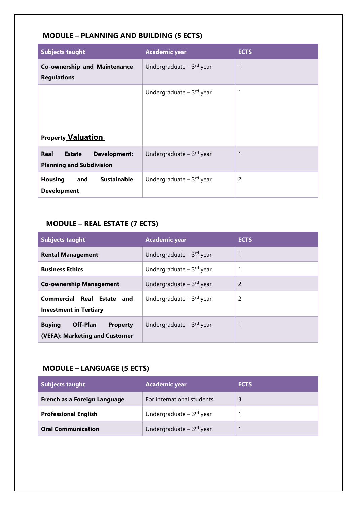| <b>Subjects taught</b>                                                          | <b>Academic year</b>                  | <b>ECTS</b> |
|---------------------------------------------------------------------------------|---------------------------------------|-------------|
| <b>Co-ownership and Maintenance</b><br><b>Regulations</b>                       | Undergraduate $-3^{rd}$ year          | 1           |
| <b>Property Valuation</b>                                                       | Undergraduate $-3rd$ year             | 1           |
| Real<br><b>Development:</b><br><b>Estate</b><br><b>Planning and Subdivision</b> | Undergraduate $-3rd$ year             | 1           |
| <b>Sustainable</b><br><b>Housing</b><br>and<br><b>Development</b>               | Undergraduate $-3$ <sup>rd</sup> year | 2           |

## **MODULE – PLANNING AND BUILDING (5 ECTS)**

## **MODULE – REAL ESTATE (7 ECTS)**

| <b>Subjects taught</b>                                                         | <b>Academic year</b>                  | <b>ECTS</b> |
|--------------------------------------------------------------------------------|---------------------------------------|-------------|
| <b>Rental Management</b>                                                       | Undergraduate $-3$ <sup>rd</sup> year | 1           |
| <b>Business Ethics</b>                                                         | Undergraduate $-3^{rd}$ year          |             |
| <b>Co-ownership Management</b>                                                 | Undergraduate $-3$ <sup>rd</sup> year | 2           |
| <b>Commercial Real Estate</b><br>and<br><b>Investment in Tertiary</b>          | Undergraduate $-3^{rd}$ year          | 2           |
| Off-Plan<br><b>Buying</b><br><b>Property</b><br>(VEFA): Marketing and Customer | Undergraduate $-3^{rd}$ year          | 1           |

## **MODULE – LANGUAGE (5 ECTS)**

| <b>Subjects taught</b>       | <b>Academic year</b>                  | <b>ECTS</b> |
|------------------------------|---------------------------------------|-------------|
| French as a Foreign Language | For international students            | 3           |
| <b>Professional English</b>  | Undergraduate $-3$ <sup>rd</sup> year |             |
| <b>Oral Communication</b>    | Undergraduate $-3$ <sup>rd</sup> year |             |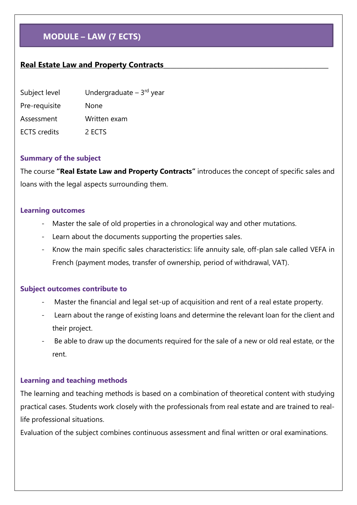## **MODULE – LAW (7 ECTS)**

## <span id="page-3-0"></span>**Real Estate Law and Property Contracts\_\_\_\_\_\_\_\_\_\_\_\_\_\_\_\_\_\_\_\_\_\_\_\_\_\_\_\_\_\_\_\_\_\_\_\_\_\_\_\_\_\_\_\_\_\_\_\_\_\_\_**

| Subject level       | Undergraduate $-3rd$ year |
|---------------------|---------------------------|
| Pre-requisite       | None                      |
| Assessment          | Written exam              |
| <b>ECTS</b> credits | 2 FCTS                    |

#### **Summary of the subject**

The course **"Real Estate Law and Property Contracts"** introduces the concept of specific sales and loans with the legal aspects surrounding them.

#### **Learning outcomes**

- Master the sale of old properties in a chronological way and other mutations.
- Learn about the documents supporting the properties sales.
- Know the main specific sales characteristics: life annuity sale, off-plan sale called VEFA in French (payment modes, transfer of ownership, period of withdrawal, VAT).

#### **Subject outcomes contribute to**

- Master the financial and legal set-up of acquisition and rent of a real estate property.
- Learn about the range of existing loans and determine the relevant loan for the client and their project.
- Be able to draw up the documents required for the sale of a new or old real estate, or the rent.

#### **Learning and teaching methods**

The learning and teaching methods is based on a combination of theoretical content with studying practical cases. Students work closely with the professionals from real estate and are trained to reallife professional situations.

Evaluation of the subject combines continuous assessment and final written or oral examinations.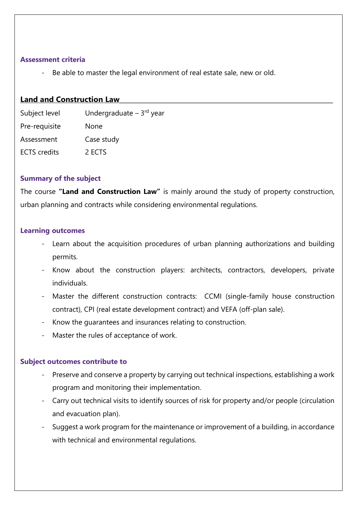#### **Assessment criteria**

Be able to master the legal environment of real estate sale, new or old.

### <span id="page-4-0"></span>Land and Construction Law

| Subject level       | Undergraduate $-3$ <sup>rd</sup> year |
|---------------------|---------------------------------------|
| Pre-requisite       | None                                  |
| Assessment          | Case study                            |
| <b>ECTS</b> credits | 2 ECTS                                |

### **Summary of the subject**

The course **"Land and Construction Law"** is mainly around the study of property construction, urban planning and contracts while considering environmental regulations.

#### **Learning outcomes**

- Learn about the acquisition procedures of urban planning authorizations and building permits.
- Know about the construction players: architects, contractors, developers, private individuals.
- Master the different construction contracts: CCMI (single-family house construction contract), CPI (real estate development contract) and VEFA (off-plan sale).
- Know the guarantees and insurances relating to construction.
- Master the rules of acceptance of work.

#### **Subject outcomes contribute to**

- Preserve and conserve a property by carrying out technical inspections, establishing a work program and monitoring their implementation.
- Carry out technical visits to identify sources of risk for property and/or people (circulation and evacuation plan).
- Suggest a work program for the maintenance or improvement of a building, in accordance with technical and environmental regulations.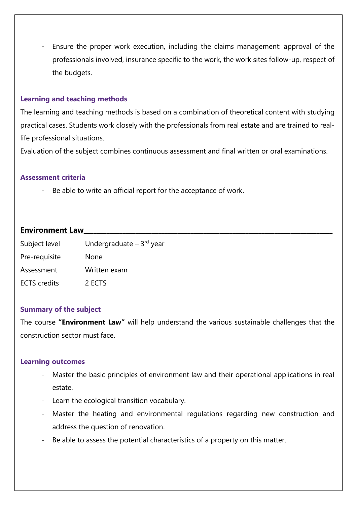- Ensure the proper work execution, including the claims management: approval of the professionals involved, insurance specific to the work, the work sites follow-up, respect of the budgets.

### **Learning and teaching methods**

The learning and teaching methods is based on a combination of theoretical content with studying practical cases. Students work closely with the professionals from real estate and are trained to reallife professional situations.

Evaluation of the subject combines continuous assessment and final written or oral examinations.

#### **Assessment criteria**

Be able to write an official report for the acceptance of work.

### <span id="page-5-0"></span>**Environment Law**

| Subject level       | Undergraduate $-3rd$ year |
|---------------------|---------------------------|
| Pre-requisite       | <b>None</b>               |
| Assessment          | Written exam              |
| <b>ECTS</b> credits | 2 ECTS                    |

#### **Summary of the subject**

The course **"Environment Law"** will help understand the various sustainable challenges that the construction sector must face.

#### **Learning outcomes**

- Master the basic principles of environment law and their operational applications in real estate.
- Learn the ecological transition vocabulary.
- Master the heating and environmental regulations regarding new construction and address the question of renovation.
- Be able to assess the potential characteristics of a property on this matter.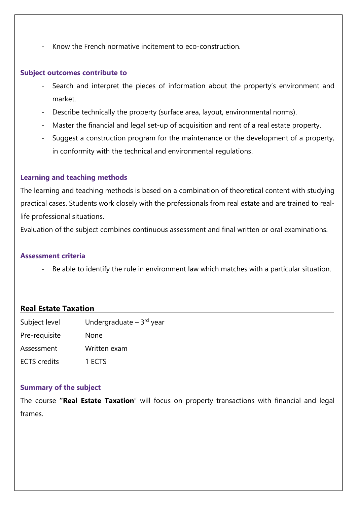- Know the French normative incitement to eco-construction.

#### **Subject outcomes contribute to**

- Search and interpret the pieces of information about the property's environment and market.
- Describe technically the property (surface area, layout, environmental norms).
- Master the financial and legal set-up of acquisition and rent of a real estate property.
- Suggest a construction program for the maintenance or the development of a property, in conformity with the technical and environmental regulations.

#### **Learning and teaching methods**

The learning and teaching methods is based on a combination of theoretical content with studying practical cases. Students work closely with the professionals from real estate and are trained to reallife professional situations.

Evaluation of the subject combines continuous assessment and final written or oral examinations.

#### **Assessment criteria**

Be able to identify the rule in environment law which matches with a particular situation.

#### <span id="page-6-0"></span>**Real Estate Taxation\_\_\_\_\_\_\_\_\_\_\_\_\_\_\_\_\_\_\_\_\_\_\_\_\_\_\_\_\_\_\_\_\_\_\_\_\_\_\_\_\_\_\_\_\_\_\_\_\_\_\_\_\_\_\_\_\_\_\_\_\_\_\_\_\_\_\_\_\_\_\_\_\_\_**

| Subject level       | Undergraduate - 3rd year |
|---------------------|--------------------------|
| Pre-requisite       | None                     |
| Assessment          | Written exam             |
| <b>ECTS</b> credits | 1 ECTS                   |

#### **Summary of the subject**

The course **"Real Estate Taxation**" will focus on property transactions with financial and legal frames.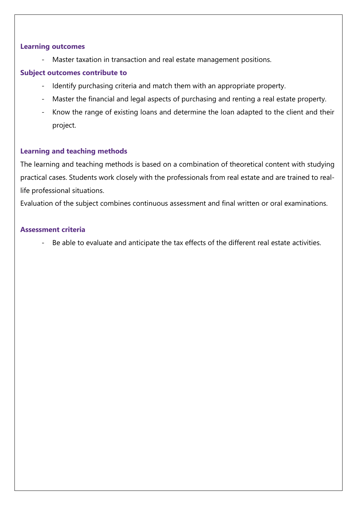#### **Learning outcomes**

Master taxation in transaction and real estate management positions.

## **Subject outcomes contribute to**

- Identify purchasing criteria and match them with an appropriate property.
- Master the financial and legal aspects of purchasing and renting a real estate property.
- Know the range of existing loans and determine the loan adapted to the client and their project.

## **Learning and teaching methods**

The learning and teaching methods is based on a combination of theoretical content with studying practical cases. Students work closely with the professionals from real estate and are trained to reallife professional situations.

Evaluation of the subject combines continuous assessment and final written or oral examinations.

#### **Assessment criteria**

- Be able to evaluate and anticipate the tax effects of the different real estate activities.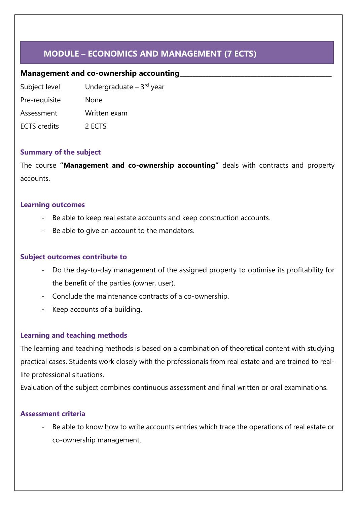## **MODULE – ECONOMICS AND MANAGEMENT (7 ECTS)**

## <span id="page-8-0"></span>**Management and co-ownership accounting**

Subject level **Undergraduate – 3<sup>rd</sup> year** Pre-requisite None Assessment Written exam ECTS credits 2 ECTS

## **Summary of the subject**

The course **"Management and co-ownership accounting"** deals with contracts and property accounts.

### **Learning outcomes**

- Be able to keep real estate accounts and keep construction accounts.
- Be able to give an account to the mandators.

## **Subject outcomes contribute to**

- Do the day-to-day management of the assigned property to optimise its profitability for the benefit of the parties (owner, user).
- Conclude the maintenance contracts of a co-ownership.
- Keep accounts of a building.

## **Learning and teaching methods**

The learning and teaching methods is based on a combination of theoretical content with studying practical cases. Students work closely with the professionals from real estate and are trained to reallife professional situations.

Evaluation of the subject combines continuous assessment and final written or oral examinations.

## **Assessment criteria**

Be able to know how to write accounts entries which trace the operations of real estate or co-ownership management.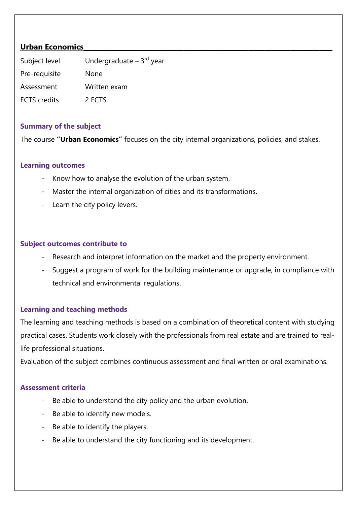## <span id="page-9-0"></span>**Urban Economics**

| Subject level       | Undergraduate $-3$ <sup>rd</sup> year |
|---------------------|---------------------------------------|
| Pre-requisite       | None                                  |
| Assessment          | Written exam                          |
| <b>ECTS</b> credits | 2 FCTS                                |

#### **Summary of the subject**

The course **"Urban Economics"** focuses on the city internal organizations, policies, and stakes.

### **Learning outcomes**

- Know how to analyse the evolution of the urban system.
- Master the internal organization of cities and its transformations.
- Learn the city policy levers.

### **Subject outcomes contribute to**

- Research and interpret information on the market and the property environment.
- Suggest a program of work for the building maintenance or upgrade, in compliance with technical and environmental regulations.

## **Learning and teaching methods**

The learning and teaching methods is based on a combination of theoretical content with studying practical cases. Students work closely with the professionals from real estate and are trained to reallife professional situations.

Evaluation of the subject combines continuous assessment and final written or oral examinations.

- Be able to understand the city policy and the urban evolution.
- Be able to identify new models.
- Be able to identify the players.
- Be able to understand the city functioning and its development.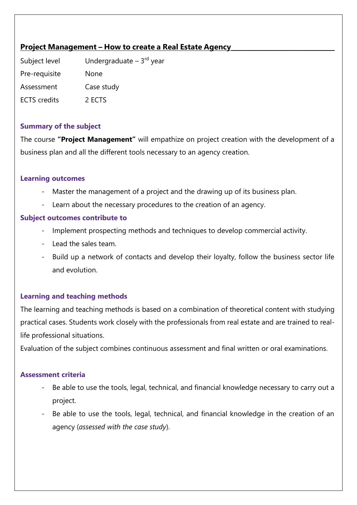## <span id="page-10-0"></span>**Project Management – How to create a Real Estate Agency**

Subject level **Undergraduate – 3<sup>rd</sup> year** Pre-requisite None Assessment Case study ECTS credits 2 ECTS

### **Summary of the subject**

The course **"Project Management"** will empathize on project creation with the development of a business plan and all the different tools necessary to an agency creation.

### **Learning outcomes**

- Master the management of a project and the drawing up of its business plan.
- Learn about the necessary procedures to the creation of an agency.

### **Subject outcomes contribute to**

- Implement prospecting methods and techniques to develop commercial activity.
- Lead the sales team.
- Build up a network of contacts and develop their loyalty, follow the business sector life and evolution.

## **Learning and teaching methods**

The learning and teaching methods is based on a combination of theoretical content with studying practical cases. Students work closely with the professionals from real estate and are trained to reallife professional situations.

Evaluation of the subject combines continuous assessment and final written or oral examinations.

- Be able to use the tools, legal, technical, and financial knowledge necessary to carry out a project.
- Be able to use the tools, legal, technical, and financial knowledge in the creation of an agency (*assessed with the case study*).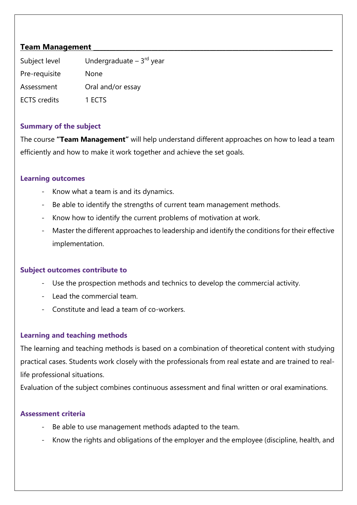## <span id="page-11-0"></span>**Team Management**

| Subject level       | Undergraduate $-3$ <sup>rd</sup> year |
|---------------------|---------------------------------------|
| Pre-requisite       | <b>None</b>                           |
| Assessment          | Oral and/or essay                     |
| <b>ECTS</b> credits | 1 ECTS                                |

### **Summary of the subject**

The course **"Team Management"** will help understand different approaches on how to lead a team efficiently and how to make it work together and achieve the set goals.

#### **Learning outcomes**

- Know what a team is and its dynamics.
- Be able to identify the strengths of current team management methods.
- Know how to identify the current problems of motivation at work.
- Master the different approaches to leadership and identify the conditions for their effective implementation.

#### **Subject outcomes contribute to**

- Use the prospection methods and technics to develop the commercial activity.
- Lead the commercial team.
- Constitute and lead a team of co-workers.

## **Learning and teaching methods**

The learning and teaching methods is based on a combination of theoretical content with studying practical cases. Students work closely with the professionals from real estate and are trained to reallife professional situations.

Evaluation of the subject combines continuous assessment and final written or oral examinations.

- Be able to use management methods adapted to the team.
- Know the rights and obligations of the employer and the employee (discipline, health, and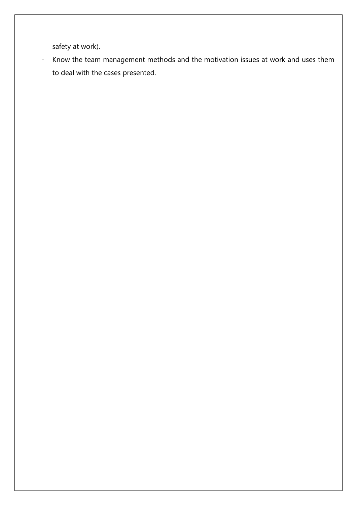safety at work).

- Know the team management methods and the motivation issues at work and uses them to deal with the cases presented.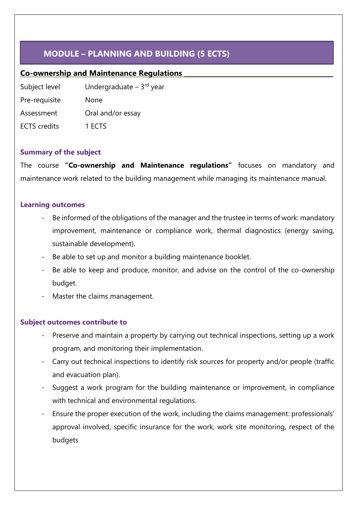## **MODULE – PLANNING AND BUILDING (5 ECTS)**

## <span id="page-13-0"></span>**Co-ownership and Maintenance Regulations \_\_\_\_\_\_\_\_\_\_\_\_\_\_\_\_\_\_\_\_\_\_\_\_\_\_\_\_\_\_\_\_\_\_\_\_\_\_\_\_\_\_\_\_\_\_**

Subject level **Undergraduate – 3<sup>rd</sup> year** Pre-requisite None Assessment Oral and/or essay ECTS credits 1 ECTS

## **Summary of the subject**

The course **"Co-ownership and Maintenance regulations"** focuses on mandatory and maintenance work related to the building management while managing its maintenance manual.

#### **Learning outcomes**

- Be informed of the obligations of the manager and the trustee in terms of work: mandatory improvement, maintenance or compliance work, thermal diagnostics (energy saving, sustainable development).
- Be able to set up and monitor a building maintenance booklet.
- Be able to keep and produce, monitor, and advise on the control of the co-ownership budget.
- Master the claims management.

#### **Subject outcomes contribute to**

- Preserve and maintain a property by carrying out technical inspections, setting up a work program, and monitoring their implementation.
- Carry out technical inspections to identify risk sources for property and/or people (traffic and evacuation plan).
- Suggest a work program for the building maintenance or improvement, in compliance with technical and environmental regulations.
- Ensure the proper execution of the work, including the claims management: professionals' approval involved, specific insurance for the work, work site monitoring, respect of the budgets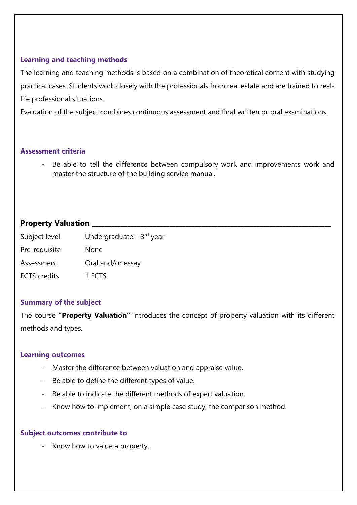The learning and teaching methods is based on a combination of theoretical content with studying practical cases. Students work closely with the professionals from real estate and are trained to reallife professional situations.

Evaluation of the subject combines continuous assessment and final written or oral examinations.

### **Assessment criteria**

<span id="page-14-0"></span>Be able to tell the difference between compulsory work and improvements work and master the structure of the building service manual.

## **Property Valuation**

| Subject level       | Undergraduate - 3rd year |
|---------------------|--------------------------|
| Pre-requisite       | None                     |
| Assessment          | Oral and/or essay        |
| <b>ECTS</b> credits | 1 ECTS                   |

## **Summary of the subject**

The course **"Property Valuation"** introduces the concept of property valuation with its different methods and types.

#### **Learning outcomes**

- Master the difference between valuation and appraise value.
- Be able to define the different types of value.
- Be able to indicate the different methods of expert valuation.
- Know how to implement, on a simple case study, the comparison method.

#### **Subject outcomes contribute to**

Know how to value a property.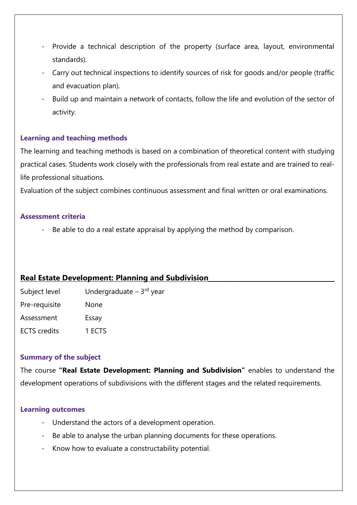- Provide a technical description of the property (surface area, layout, environmental standards).
- Carry out technical inspections to identify sources of risk for goods and/or people (traffic and evacuation plan).
- Build up and maintain a network of contacts, follow the life and evolution of the sector of activity.

The learning and teaching methods is based on a combination of theoretical content with studying practical cases. Students work closely with the professionals from real estate and are trained to reallife professional situations.

Evaluation of the subject combines continuous assessment and final written or oral examinations.

#### **Assessment criteria**

Be able to do a real estate appraisal by applying the method by comparison.

#### <span id="page-15-0"></span>**Real Estate Development: Planning and Subdivision\_\_\_\_\_\_\_\_\_\_\_\_\_\_\_\_\_\_\_\_\_\_\_\_\_\_\_\_\_\_\_\_\_\_\_\_\_\_\_**

| Subject level       | Undergraduate $-3$ <sup>rd</sup> year |
|---------------------|---------------------------------------|
| Pre-requisite       | <b>None</b>                           |
| Assessment          | Essay                                 |
| <b>ECTS</b> credits | 1 ECTS                                |

#### **Summary of the subject**

The course **"Real Estate Development: Planning and Subdivision"** enables to understand the development operations of subdivisions with the different stages and the related requirements.

#### **Learning outcomes**

- Understand the actors of a development operation.
- Be able to analyse the urban planning documents for these operations.
- Know how to evaluate a constructability potential.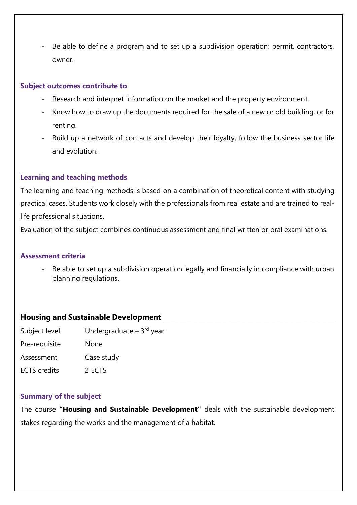Be able to define a program and to set up a subdivision operation: permit, contractors, owner.

#### **Subject outcomes contribute to**

- Research and interpret information on the market and the property environment.
- Know how to draw up the documents required for the sale of a new or old building, or for renting.
- Build up a network of contacts and develop their loyalty, follow the business sector life and evolution.

## **Learning and teaching methods**

The learning and teaching methods is based on a combination of theoretical content with studying practical cases. Students work closely with the professionals from real estate and are trained to reallife professional situations.

Evaluation of the subject combines continuous assessment and final written or oral examinations.

#### **Assessment criteria**

Be able to set up a subdivision operation legally and financially in compliance with urban planning regulations.

## <span id="page-16-0"></span>**Housing and Sustainable Development**

| Undergraduate $-3rd$ year |
|---------------------------|
| None                      |
| Case study                |
| 2 ECTS                    |
|                           |

## **Summary of the subject**

The course **"Housing and Sustainable Development"** deals with the sustainable development stakes regarding the works and the management of a habitat.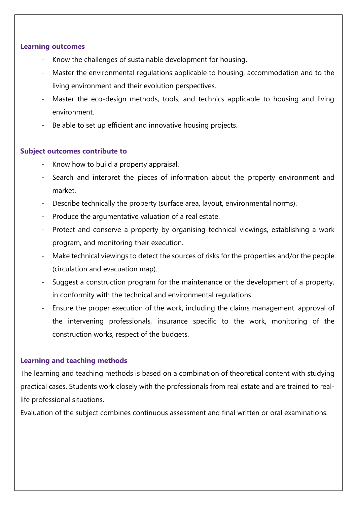#### **Learning outcomes**

- Know the challenges of sustainable development for housing.
- Master the environmental regulations applicable to housing, accommodation and to the living environment and their evolution perspectives.
- Master the eco-design methods, tools, and technics applicable to housing and living environment.
- Be able to set up efficient and innovative housing projects.

### **Subject outcomes contribute to**

- Know how to build a property appraisal.
- Search and interpret the pieces of information about the property environment and market.
- Describe technically the property (surface area, layout, environmental norms).
- Produce the argumentative valuation of a real estate.
- Protect and conserve a property by organising technical viewings, establishing a work program, and monitoring their execution.
- Make technical viewings to detect the sources of risks for the properties and/or the people (circulation and evacuation map).
- Suggest a construction program for the maintenance or the development of a property, in conformity with the technical and environmental regulations.
- Ensure the proper execution of the work, including the claims management: approval of the intervening professionals, insurance specific to the work, monitoring of the construction works, respect of the budgets.

## **Learning and teaching methods**

The learning and teaching methods is based on a combination of theoretical content with studying practical cases. Students work closely with the professionals from real estate and are trained to reallife professional situations.

Evaluation of the subject combines continuous assessment and final written or oral examinations.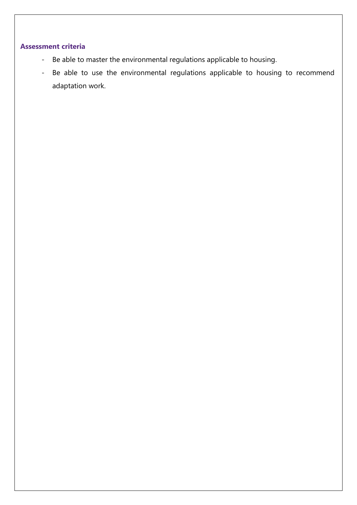- Be able to master the environmental regulations applicable to housing.
- Be able to use the environmental regulations applicable to housing to recommend adaptation work.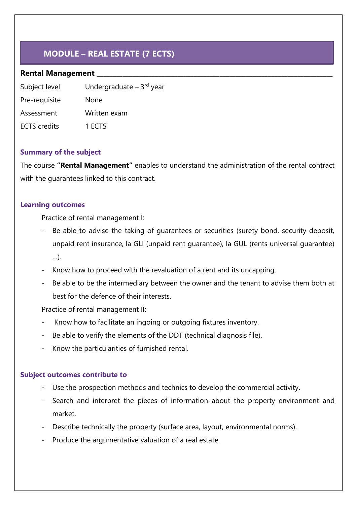## **MODULE – REAL ESTATE (7 ECTS)**

### <span id="page-19-0"></span>**Rental Management \_\_\_\_\_\_\_\_\_\_\_\_\_\_\_\_\_\_\_\_\_\_\_\_\_\_\_\_\_\_\_\_\_\_\_\_\_\_\_\_\_\_\_\_\_\_\_\_\_\_\_\_\_\_\_\_\_\_\_\_\_\_\_\_\_\_\_\_\_\_\_\_\_**

| Subject level       | Undergraduate $-3rd$ year |
|---------------------|---------------------------|
| Pre-requisite       | None                      |
| Assessment          | Written exam              |
| <b>ECTS</b> credits | 1 ECTS                    |

### **Summary of the subject**

The course **"Rental Management"** enables to understand the administration of the rental contract with the guarantees linked to this contract.

#### **Learning outcomes**

Practice of rental management I:

- Be able to advise the taking of quarantees or securities (surety bond, security deposit, unpaid rent insurance, la GLI (unpaid rent guarantee), la GUL (rents universal guarantee) …).
- Know how to proceed with the revaluation of a rent and its uncapping.
- Be able to be the intermediary between the owner and the tenant to advise them both at best for the defence of their interests.

Practice of rental management II:

- Know how to facilitate an ingoing or outgoing fixtures inventory.
- Be able to verify the elements of the DDT (technical diagnosis file).
- Know the particularities of furnished rental.

#### **Subject outcomes contribute to**

- Use the prospection methods and technics to develop the commercial activity.
- Search and interpret the pieces of information about the property environment and market.
- Describe technically the property (surface area, layout, environmental norms).
- Produce the argumentative valuation of a real estate.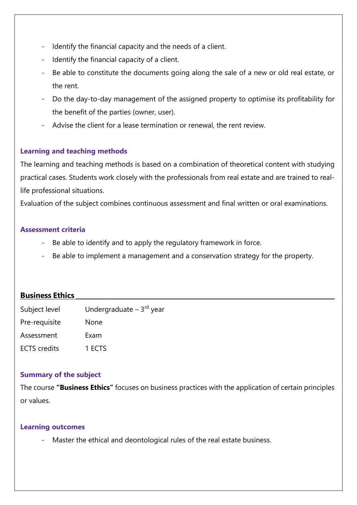- Identify the financial capacity and the needs of a client.
- Identify the financial capacity of a client.
- Be able to constitute the documents going along the sale of a new or old real estate, or the rent.
- Do the day-to-day management of the assigned property to optimise its profitability for the benefit of the parties (owner, user).
- Advise the client for a lease termination or renewal, the rent review.

The learning and teaching methods is based on a combination of theoretical content with studying practical cases. Students work closely with the professionals from real estate and are trained to reallife professional situations.

Evaluation of the subject combines continuous assessment and final written or oral examinations.

### **Assessment criteria**

- Be able to identify and to apply the regulatory framework in force.
- Be able to implement a management and a conservation strategy for the property.

## <span id="page-20-0"></span>**Business Ethics**

| Subject level       | Undergraduate $-3rd$ year |
|---------------------|---------------------------|
| Pre-requisite       | None                      |
| Assessment          | Exam                      |
| <b>ECTS</b> credits | 1 FCTS                    |

## **Summary of the subject**

The course **"Business Ethics"** focuses on business practices with the application of certain principles or values.

#### **Learning outcomes**

Master the ethical and deontological rules of the real estate business.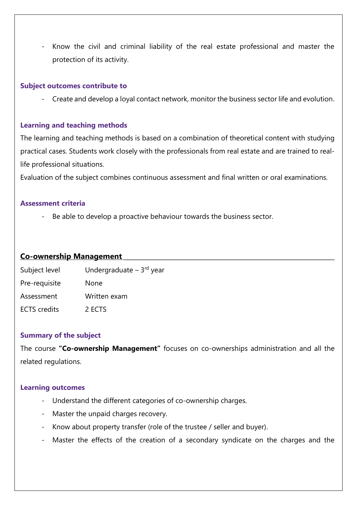- Know the civil and criminal liability of the real estate professional and master the protection of its activity.

#### **Subject outcomes contribute to**

Create and develop a loyal contact network, monitor the business sector life and evolution.

#### **Learning and teaching methods**

The learning and teaching methods is based on a combination of theoretical content with studying practical cases. Students work closely with the professionals from real estate and are trained to reallife professional situations.

Evaluation of the subject combines continuous assessment and final written or oral examinations.

#### **Assessment criteria**

- Be able to develop a proactive behaviour towards the business sector.

#### <span id="page-21-0"></span>**Co-ownership Management \_\_\_\_\_\_\_\_\_\_\_\_\_\_\_\_\_\_\_\_\_\_\_\_\_\_\_\_\_\_\_\_\_\_\_\_\_\_\_\_\_\_\_\_\_\_\_\_\_\_\_\_\_\_\_\_\_\_\_\_\_\_\_\_\_**

| Subject level       | Undergraduate $-3rd$ year |
|---------------------|---------------------------|
| Pre-requisite       | None                      |
| Assessment          | Written exam              |
| <b>ECTS</b> credits | 2 ECTS                    |

#### **Summary of the subject**

The course **"Co-ownership Management"** focuses on co-ownerships administration and all the related regulations.

#### **Learning outcomes**

- Understand the different categories of co-ownership charges.
- Master the unpaid charges recovery.
- Know about property transfer (role of the trustee / seller and buyer).
- Master the effects of the creation of a secondary syndicate on the charges and the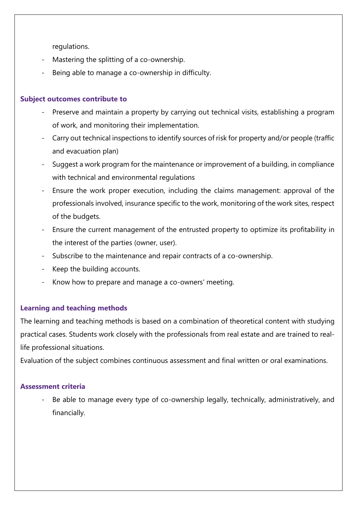regulations.

- Mastering the splitting of a co-ownership.
- Being able to manage a co-ownership in difficulty.

### **Subject outcomes contribute to**

- Preserve and maintain a property by carrying out technical visits, establishing a program of work, and monitoring their implementation.
- Carry out technical inspections to identify sources of risk for property and/or people (traffic and evacuation plan)
- Suggest a work program for the maintenance or improvement of a building, in compliance with technical and environmental regulations
- Ensure the work proper execution, including the claims management: approval of the professionals involved, insurance specific to the work, monitoring of the work sites, respect of the budgets.
- Ensure the current management of the entrusted property to optimize its profitability in the interest of the parties (owner, user).
- Subscribe to the maintenance and repair contracts of a co-ownership.
- Keep the building accounts.
- Know how to prepare and manage a co-owners' meeting.

## **Learning and teaching methods**

The learning and teaching methods is based on a combination of theoretical content with studying practical cases. Students work closely with the professionals from real estate and are trained to reallife professional situations.

Evaluation of the subject combines continuous assessment and final written or oral examinations.

## **Assessment criteria**

Be able to manage every type of co-ownership legally, technically, administratively, and financially.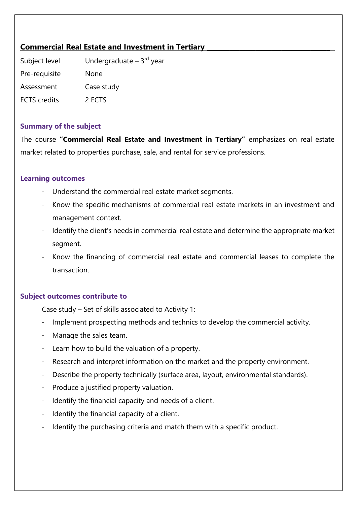## <span id="page-23-0"></span>**Commercial Real Estate and Investment in Tertiary \_\_\_\_\_\_\_\_\_\_\_\_\_\_\_\_\_\_\_\_\_\_\_\_\_\_\_\_\_\_\_\_\_\_\_\_\_\_**

Subject level **Undergraduate – 3<sup>rd</sup> year** Pre-requisite None Assessment Case study ECTS credits 2 ECTS

### **Summary of the subject**

The course **"Commercial Real Estate and Investment in Tertiary"** emphasizes on real estate market related to properties purchase, sale, and rental for service professions.

#### **Learning outcomes**

- Understand the commercial real estate market segments.
- Know the specific mechanisms of commercial real estate markets in an investment and management context.
- Identify the client's needs in commercial real estate and determine the appropriate market segment.
- Know the financing of commercial real estate and commercial leases to complete the transaction.

## **Subject outcomes contribute to**

Case study – Set of skills associated to Activity 1:

- Implement prospecting methods and technics to develop the commercial activity.
- Manage the sales team.
- Learn how to build the valuation of a property.
- Research and interpret information on the market and the property environment.
- Describe the property technically (surface area, layout, environmental standards).
- Produce a justified property valuation.
- Identify the financial capacity and needs of a client.
- Identify the financial capacity of a client.
- Identify the purchasing criteria and match them with a specific product.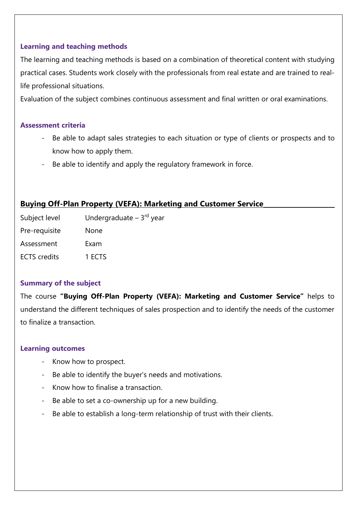The learning and teaching methods is based on a combination of theoretical content with studying practical cases. Students work closely with the professionals from real estate and are trained to reallife professional situations.

Evaluation of the subject combines continuous assessment and final written or oral examinations.

#### **Assessment criteria**

- Be able to adapt sales strategies to each situation or type of clients or prospects and to know how to apply them.
- Be able to identify and apply the regulatory framework in force.

## <span id="page-24-0"></span>**Buying Off-Plan Property (VEFA): Marketing and Customer Service**

Subject level Undergraduate – 3rd year Pre-requisite None Assessment Exam ECTS credits 1 ECTS

#### **Summary of the subject**

The course **"Buying Off-Plan Property (VEFA): Marketing and Customer Service"** helps to understand the different techniques of sales prospection and to identify the needs of the customer to finalize a transaction.

#### **Learning outcomes**

- Know how to prospect.
- Be able to identify the buyer's needs and motivations.
- Know how to finalise a transaction.
- Be able to set a co-ownership up for a new building.
- Be able to establish a long-term relationship of trust with their clients.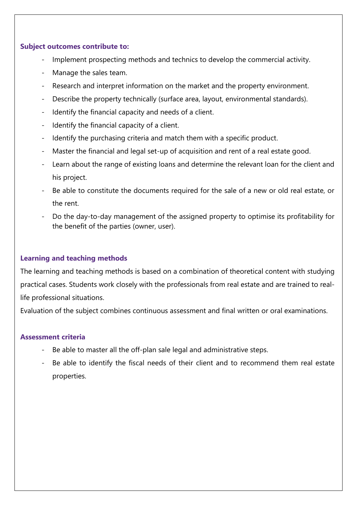#### **Subject outcomes contribute to:**

- Implement prospecting methods and technics to develop the commercial activity.
- Manage the sales team.
- Research and interpret information on the market and the property environment.
- Describe the property technically (surface area, layout, environmental standards).
- Identify the financial capacity and needs of a client.
- Identify the financial capacity of a client.
- Identify the purchasing criteria and match them with a specific product.
- Master the financial and legal set-up of acquisition and rent of a real estate good.
- Learn about the range of existing loans and determine the relevant loan for the client and his project.
- Be able to constitute the documents required for the sale of a new or old real estate, or the rent.
- Do the day-to-day management of the assigned property to optimise its profitability for the benefit of the parties (owner, user).

## **Learning and teaching methods**

The learning and teaching methods is based on a combination of theoretical content with studying practical cases. Students work closely with the professionals from real estate and are trained to reallife professional situations.

Evaluation of the subject combines continuous assessment and final written or oral examinations.

- Be able to master all the off-plan sale legal and administrative steps.
- Be able to identify the fiscal needs of their client and to recommend them real estate properties.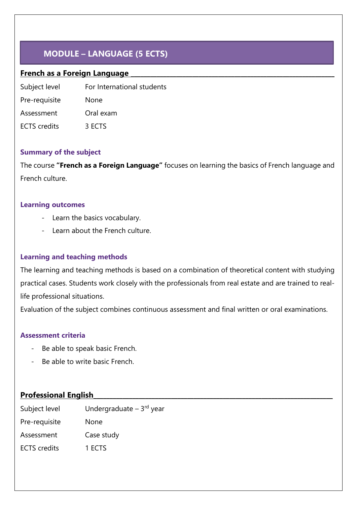## **MODULE – LANGUAGE (5 ECTS)**

## <span id="page-26-0"></span>**French as a Foreign Language \_\_\_\_\_\_\_\_\_\_\_\_\_\_\_\_\_\_\_\_\_\_\_\_\_\_\_\_\_\_\_\_\_\_\_\_\_\_\_\_\_\_\_\_\_\_\_\_\_\_\_\_\_\_\_\_\_\_\_\_\_\_\_**

Subject level For International students

Pre-requisite None Assessment Oral exam

ECTS credits 3 ECTS

## **Summary of the subject**

The course **"French as a Foreign Language"** focuses on learning the basics of French language and French culture.

### **Learning outcomes**

- Learn the basics vocabulary.
- Learn about the French culture.

## **Learning and teaching methods**

The learning and teaching methods is based on a combination of theoretical content with studying practical cases. Students work closely with the professionals from real estate and are trained to reallife professional situations.

Evaluation of the subject combines continuous assessment and final written or oral examinations.

## **Assessment criteria**

- Be able to speak basic French.
- Be able to write basic French.

## <span id="page-26-1"></span>**Professional English\_\_\_\_\_\_\_\_\_\_\_\_\_\_\_\_\_\_\_\_\_\_\_\_\_\_\_\_\_\_\_\_\_\_\_\_\_\_\_\_\_\_\_\_\_\_\_\_\_\_\_\_\_\_\_\_\_\_\_\_\_\_\_\_\_\_\_\_\_\_\_\_\_\_**

| Subject level       | Undergraduate $-3$ <sup>rd</sup> year |
|---------------------|---------------------------------------|
| Pre-requisite       | None                                  |
| Assessment          | Case study                            |
| <b>ECTS</b> credits | 1 ECTS                                |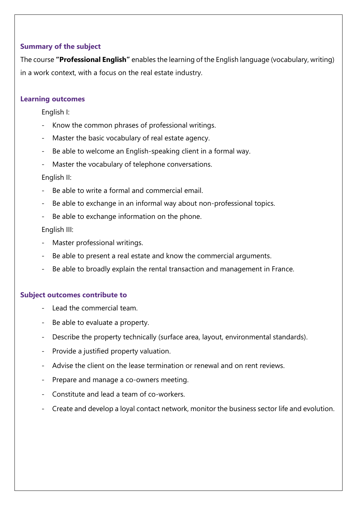## **Summary of the subject**

The course **"Professional English"** enables the learning of the English language (vocabulary, writing) in a work context, with a focus on the real estate industry.

### **Learning outcomes**

English I:

- Know the common phrases of professional writings.
- Master the basic vocabulary of real estate agency.
- Be able to welcome an English-speaking client in a formal way.
- Master the vocabulary of telephone conversations.

English II:

- Be able to write a formal and commercial email
- Be able to exchange in an informal way about non-professional topics.
- Be able to exchange information on the phone.

English III:

- Master professional writings.
- Be able to present a real estate and know the commercial arguments.
- Be able to broadly explain the rental transaction and management in France.

## **Subject outcomes contribute to**

- Lead the commercial team.
- Be able to evaluate a property.
- Describe the property technically (surface area, layout, environmental standards).
- Provide a justified property valuation.
- Advise the client on the lease termination or renewal and on rent reviews.
- Prepare and manage a co-owners meeting.
- Constitute and lead a team of co-workers.
- Create and develop a loyal contact network, monitor the business sector life and evolution.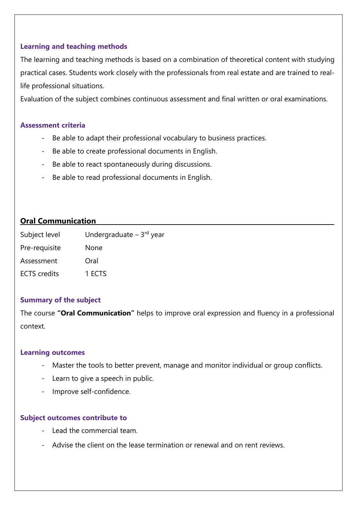The learning and teaching methods is based on a combination of theoretical content with studying practical cases. Students work closely with the professionals from real estate and are trained to reallife professional situations.

Evaluation of the subject combines continuous assessment and final written or oral examinations.

#### **Assessment criteria**

- Be able to adapt their professional vocabulary to business practices.
- Be able to create professional documents in English.
- Be able to react spontaneously during discussions.
- Be able to read professional documents in English.

## <span id="page-28-0"></span>**Oral Communication**

| Undergraduate $-3rd$ year |
|---------------------------|
| None                      |
| Oral                      |
| 1 ECTS                    |
|                           |

## **Summary of the subject**

The course **"Oral Communication"** helps to improve oral expression and fluency in a professional context.

#### **Learning outcomes**

- Master the tools to better prevent, manage and monitor individual or group conflicts.
- Learn to give a speech in public.
- Improve self-confidence.

#### **Subject outcomes contribute to**

- Lead the commercial team.
- Advise the client on the lease termination or renewal and on rent reviews.